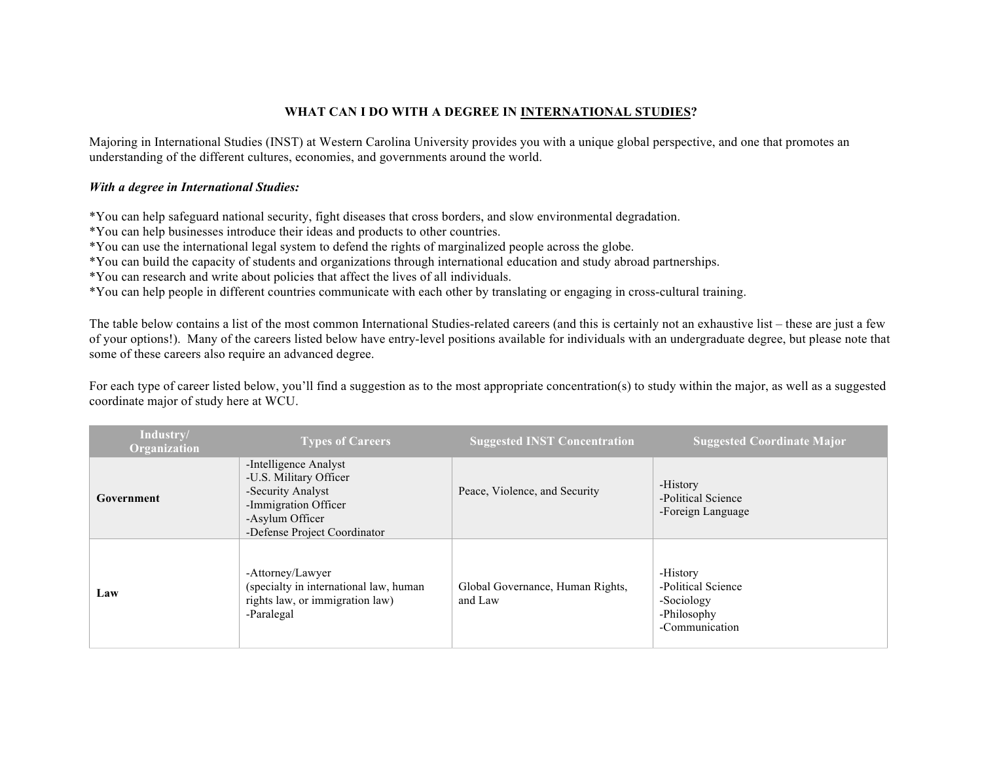## **WHAT CAN I DO WITH A DEGREE IN INTERNATIONAL STUDIES?**

Majoring in International Studies (INST) at Western Carolina University provides you with a unique global perspective, and one that promotes an understanding of the different cultures, economies, and governments around the world.

## *With a degree in International Studies:*

\*You can help safeguard national security, fight diseases that cross borders, and slow environmental degradation.

\*You can help businesses introduce their ideas and products to other countries.

\*You can use the international legal system to defend the rights of marginalized people across the globe.

\*You can build the capacity of students and organizations through international education and study abroad partnerships.

\*You can research and write about policies that affect the lives of all individuals.

\*You can help people in different countries communicate with each other by translating or engaging in cross-cultural training.

The table below contains a list of the most common International Studies-related careers (and this is certainly not an exhaustive list – these are just a few of your options!). Many of the careers listed below have entry-level positions available for individuals with an undergraduate degree, but please note that some of these careers also require an advanced degree.

For each type of career listed below, you'll find a suggestion as to the most appropriate concentration(s) to study within the major, as well as a suggested coordinate major of study here at WCU.

| Industry/<br>Organization | <b>Types of Careers</b>                                                                                                                         | <b>Suggested INST Concentration</b>         | <b>Suggested Coordinate Major</b>                                             |
|---------------------------|-------------------------------------------------------------------------------------------------------------------------------------------------|---------------------------------------------|-------------------------------------------------------------------------------|
| Government                | -Intelligence Analyst<br>-U.S. Military Officer<br>-Security Analyst<br>-Immigration Officer<br>-Asylum Officer<br>-Defense Project Coordinator | Peace, Violence, and Security               | -History<br>-Political Science<br>-Foreign Language                           |
| Law                       | -Attorney/Lawyer<br>(specialty in international law, human<br>rights law, or immigration law)<br>-Paralegal                                     | Global Governance, Human Rights,<br>and Law | -History<br>-Political Science<br>-Sociology<br>-Philosophy<br>-Communication |